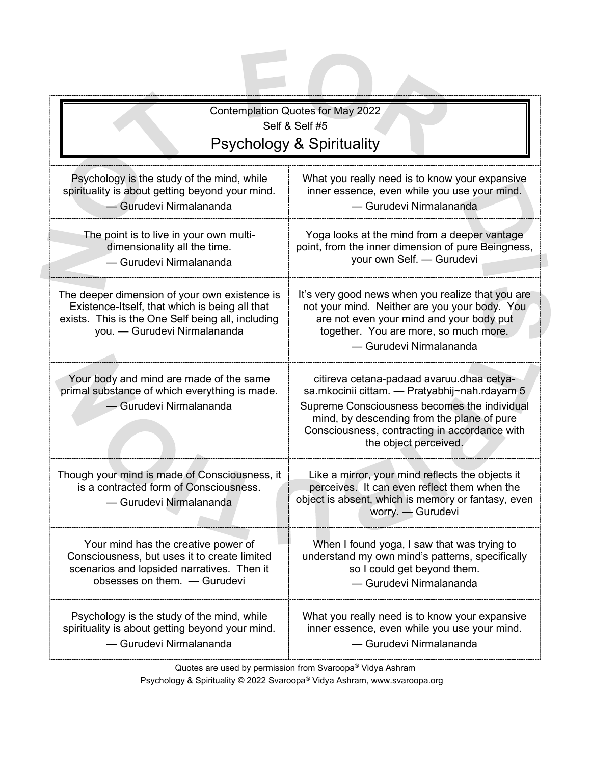| <b>Contemplation Quotes for May 2022</b><br>Self & Self #5<br><b>Psychology &amp; Spirituality</b>                                                                                   |                                                                                                                                                                                                                                                                    |  |
|--------------------------------------------------------------------------------------------------------------------------------------------------------------------------------------|--------------------------------------------------------------------------------------------------------------------------------------------------------------------------------------------------------------------------------------------------------------------|--|
| Psychology is the study of the mind, while<br>spirituality is about getting beyond your mind.<br>- Gurudevi Nirmalananda                                                             | What you really need is to know your expansive<br>inner essence, even while you use your mind.<br>- Gurudevi Nirmalananda                                                                                                                                          |  |
| The point is to live in your own multi-<br>dimensionality all the time.<br>- Gurudevi Nirmalananda                                                                                   | Yoga looks at the mind from a deeper vantage<br>point, from the inner dimension of pure Beingness,<br>your own Self. - Gurudevi                                                                                                                                    |  |
| The deeper dimension of your own existence is<br>Existence-Itself, that which is being all that<br>exists. This is the One Self being all, including<br>you. - Gurudevi Nirmalananda | It's very good news when you realize that you are<br>not your mind. Neither are you your body. You<br>are not even your mind and your body put<br>together. You are more, so much more.<br>- Gurudevi Nirmalananda                                                 |  |
| Your body and mind are made of the same<br>primal substance of which everything is made.<br>- Gurudevi Nirmalananda                                                                  | citireva cetana-padaad avaruu.dhaa cetya-<br>sa.mkocinii cittam. - Pratyabhij~nah.rdayam 5<br>Supreme Consciousness becomes the individual<br>mind, by descending from the plane of pure<br>Consciousness, contracting in accordance with<br>the object perceived. |  |
| Though your mind is made of Consciousness, it<br>is a contracted form of Consciousness.<br>- Gurudevi Nirmalananda                                                                   | Like a mirror, your mind reflects the objects it<br>perceives. It can even reflect them when the<br>object is absent, which is memory or fantasy, even<br>worry. - Gurudevi                                                                                        |  |
| Your mind has the creative power of<br>Consciousness, but uses it to create limited<br>scenarios and lopsided narratives. Then it<br>obsesses on them. - Gurudevi                    | When I found yoga, I saw that was trying to<br>understand my own mind's patterns, specifically<br>so I could get beyond them.<br>- Gurudevi Nirmalananda                                                                                                           |  |
| Psychology is the study of the mind, while<br>spirituality is about getting beyond your mind.<br>- Gurudevi Nirmalananda                                                             | What you really need is to know your expansive<br>inner essence, even while you use your mind.<br>- Gurudevi Nirmalananda                                                                                                                                          |  |

Quotes are used by permission from Svaroopa® Vidya Ashram

Psychology & Spirituality © 2022 Svaroopa® Vidya Ashram[, www.svaroopa.org](http://www.svaroopa.org/)